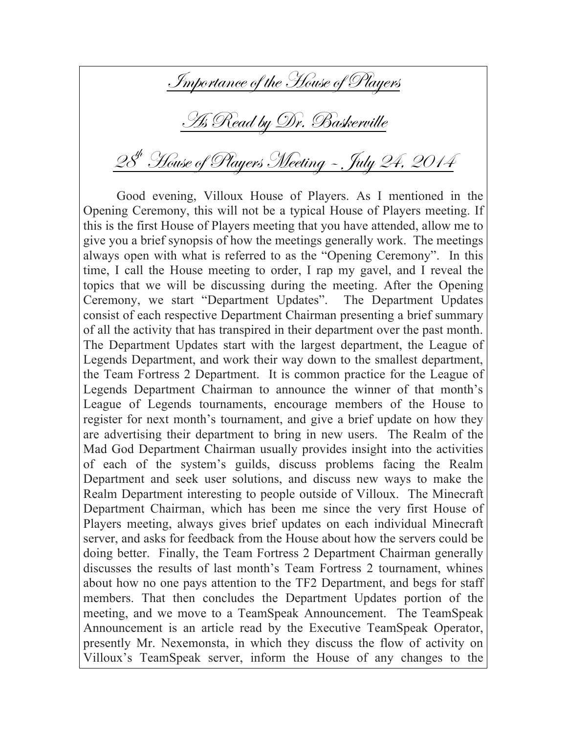Importance of the House of Players

As Read by Dr. Baskerville

## 28<sup>th</sup> House of Players Meeting - July 24, 2014

Good evening, Villoux House of Players. As I mentioned in the Opening Ceremony, this will not be a typical House of Players meeting. If this is the first House of Players meeting that you have attended, allow me to give you a brief synopsis of how the meetings generally work. The meetings always open with what is referred to as the "Opening Ceremony". In this time, I call the House meeting to order, I rap my gavel, and I reveal the topics that we will be discussing during the meeting. After the Opening Ceremony, we start "Department Updates". The Department Updates consist of each respective Department Chairman presenting a brief summary of all the activity that has transpired in their department over the past month. The Department Updates start with the largest department, the League of Legends Department, and work their way down to the smallest department, the Team Fortress 2 Department. It is common practice for the League of Legends Department Chairman to announce the winner of that month's League of Legends tournaments, encourage members of the House to register for next month's tournament, and give a brief update on how they are advertising their department to bring in new users. The Realm of the Mad God Department Chairman usually provides insight into the activities of each of the system's guilds, discuss problems facing the Realm Department and seek user solutions, and discuss new ways to make the Realm Department interesting to people outside of Villoux. The Minecraft Department Chairman, which has been me since the very first House of Players meeting, always gives brief updates on each individual Minecraft server, and asks for feedback from the House about how the servers could be doing better. Finally, the Team Fortress 2 Department Chairman generally discusses the results of last month's Team Fortress 2 tournament, whines about how no one pays attention to the TF2 Department, and begs for staff members. That then concludes the Department Updates portion of the meeting, and we move to a TeamSpeak Announcement. The TeamSpeak Announcement is an article read by the Executive TeamSpeak Operator, presently Mr. Nexemonsta, in which they discuss the flow of activity on Villoux's TeamSpeak server, inform the House of any changes to the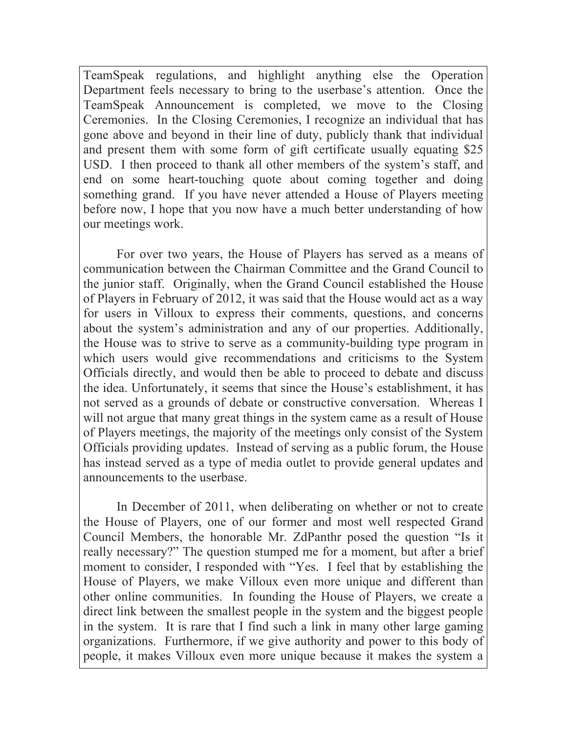TeamSpeak regulations, and highlight anything else the Operation Department feels necessary to bring to the userbase's attention. Once the TeamSpeak Announcement is completed, we move to the Closing Ceremonies. In the Closing Ceremonies, I recognize an individual that has gone above and beyond in their line of duty, publicly thank that individual and present them with some form of gift certificate usually equating \$25 USD. I then proceed to thank all other members of the system's staff, and end on some heart-touching quote about coming together and doing something grand. If you have never attended a House of Players meeting before now, I hope that you now have a much better understanding of how our meetings work.

For over two years, the House of Players has served as a means of communication between the Chairman Committee and the Grand Council to the junior staff. Originally, when the Grand Council established the House of Players in February of 2012, it was said that the House would act as a way for users in Villoux to express their comments, questions, and concerns about the system's administration and any of our properties. Additionally, the House was to strive to serve as a community-building type program in which users would give recommendations and criticisms to the System Officials directly, and would then be able to proceed to debate and discuss the idea. Unfortunately, it seems that since the House's establishment, it has not served as a grounds of debate or constructive conversation. Whereas I will not argue that many great things in the system came as a result of House of Players meetings, the majority of the meetings only consist of the System Officials providing updates. Instead of serving as a public forum, the House has instead served as a type of media outlet to provide general updates and announcements to the userbase.

In December of 2011, when deliberating on whether or not to create the House of Players, one of our former and most well respected Grand Council Members, the honorable Mr. ZdPanthr posed the question "Is it really necessary?" The question stumped me for a moment, but after a brief moment to consider, I responded with "Yes. I feel that by establishing the House of Players, we make Villoux even more unique and different than other online communities. In founding the House of Players, we create a direct link between the smallest people in the system and the biggest people in the system. It is rare that I find such a link in many other large gaming organizations. Furthermore, if we give authority and power to this body of people, it makes Villoux even more unique because it makes the system a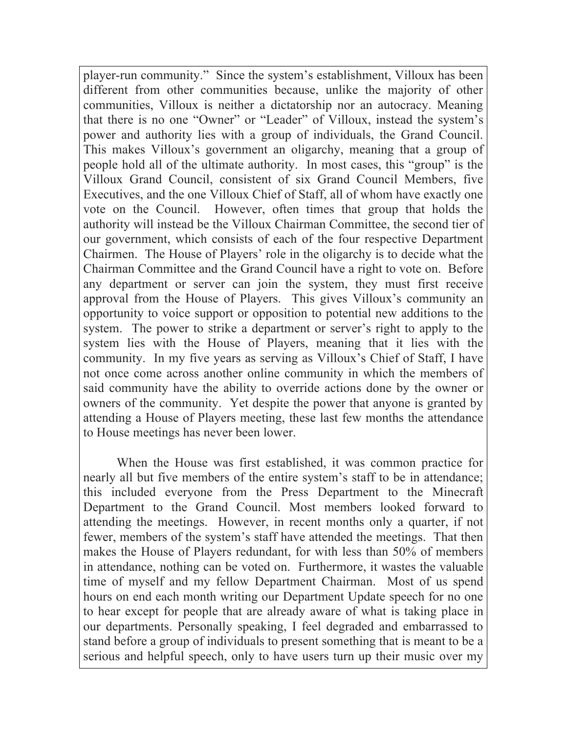player-run community." Since the system's establishment, Villoux has been different from other communities because, unlike the majority of other communities, Villoux is neither a dictatorship nor an autocracy. Meaning that there is no one "Owner" or "Leader" of Villoux, instead the system's power and authority lies with a group of individuals, the Grand Council. This makes Villoux's government an oligarchy, meaning that a group of people hold all of the ultimate authority. In most cases, this "group" is the Villoux Grand Council, consistent of six Grand Council Members, five Executives, and the one Villoux Chief of Staff, all of whom have exactly one vote on the Council. However, often times that group that holds the authority will instead be the Villoux Chairman Committee, the second tier of our government, which consists of each of the four respective Department Chairmen. The House of Players' role in the oligarchy is to decide what the Chairman Committee and the Grand Council have a right to vote on. Before any department or server can join the system, they must first receive approval from the House of Players. This gives Villoux's community an opportunity to voice support or opposition to potential new additions to the system. The power to strike a department or server's right to apply to the system lies with the House of Players, meaning that it lies with the community. In my five years as serving as Villoux's Chief of Staff, I have not once come across another online community in which the members of said community have the ability to override actions done by the owner or owners of the community. Yet despite the power that anyone is granted by attending a House of Players meeting, these last few months the attendance to House meetings has never been lower.

When the House was first established, it was common practice for nearly all but five members of the entire system's staff to be in attendance; this included everyone from the Press Department to the Minecraft Department to the Grand Council. Most members looked forward to attending the meetings. However, in recent months only a quarter, if not fewer, members of the system's staff have attended the meetings. That then makes the House of Players redundant, for with less than 50% of members in attendance, nothing can be voted on. Furthermore, it wastes the valuable time of myself and my fellow Department Chairman. Most of us spend hours on end each month writing our Department Update speech for no one to hear except for people that are already aware of what is taking place in our departments. Personally speaking, I feel degraded and embarrassed to stand before a group of individuals to present something that is meant to be a serious and helpful speech, only to have users turn up their music over my